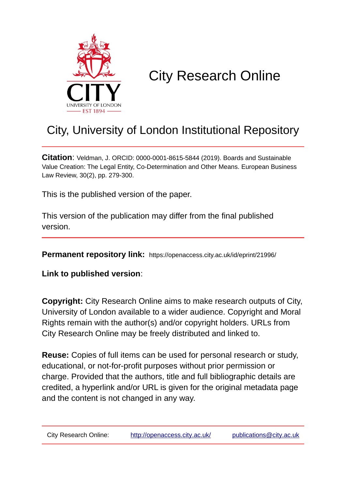

# City Research Online

## City, University of London Institutional Repository

**Citation**: Veldman, J. ORCID: 0000-0001-8615-5844 (2019). Boards and Sustainable Value Creation: The Legal Entity, Co-Determination and Other Means. European Business Law Review, 30(2), pp. 279-300.

This is the published version of the paper.

This version of the publication may differ from the final published version.

**Permanent repository link:** https://openaccess.city.ac.uk/id/eprint/21996/

**Link to published version**:

**Copyright:** City Research Online aims to make research outputs of City, University of London available to a wider audience. Copyright and Moral Rights remain with the author(s) and/or copyright holders. URLs from City Research Online may be freely distributed and linked to.

**Reuse:** Copies of full items can be used for personal research or study, educational, or not-for-profit purposes without prior permission or charge. Provided that the authors, title and full bibliographic details are credited, a hyperlink and/or URL is given for the original metadata page and the content is not changed in any way.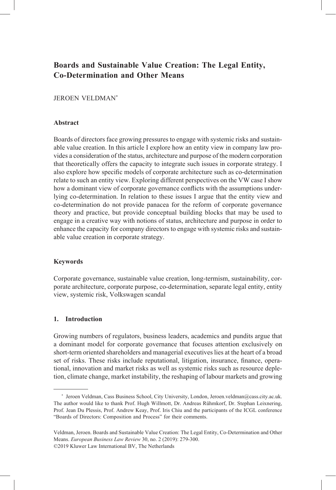### **Boards and Sustainable Value Creation: The Legal Entity, Co-Determination and Other Means**

### JEROEN VELDMAN\*

### **Abstract**

Boards of directors face growing pressures to engage with systemic risks and sustainable value creation. In this article I explore how an entity view in company law provides a consideration of the status, architecture and purpose of the modern corporation that theoretically offers the capacity to integrate such issues in corporate strategy. I also explore how specific models of corporate architecture such as co-determination relate to such an entity view. Exploring different perspectives on the VW case I show how a dominant view of corporate governance conflicts with the assumptions underlying co-determination. In relation to these issues I argue that the entity view and co-determination do not provide panacea for the reform of corporate governance theory and practice, but provide conceptual building blocks that may be used to engage in a creative way with notions of status, architecture and purpose in order to enhance the capacity for company directors to engage with systemic risks and sustainable value creation in corporate strategy.

### **Keywords**

Corporate governance, sustainable value creation, long-termism, sustainability, corporate architecture, corporate purpose, co-determination, separate legal entity, entity view, systemic risk, Volkswagen scandal

### **1. Introduction**

Growing numbers of regulators, business leaders, academics and pundits argue that a dominant model for corporate governance that focuses attention exclusively on short-term oriented shareholders and managerial executives lies at the heart of a broad set of risks. These risks include reputational, litigation, insurance, finance, operational, innovation and market risks as well as systemic risks such as resource depletion, climate change, market instability, the reshaping of labour markets and growing

<sup>\*</sup> Jeroen Veldman, Cass Business School, City University, London, Jeroen.veldman@cass.city.ac.uk. The author would like to thank Prof. Hugh Willmott, Dr. Andreas Rühmkorf, Dr. Stephan Leixnering, Prof. Jean Du Plessis, Prof. Andrew Keay, Prof. Iris Chiu and the participants of the ICGL conference "Boards of Directors: Composition and Process" for their comments.

Veldman, Jeroen. Boards and Sustainable Value Creation: The Legal Entity, Co-Determination and Other Means. *European Business Law Review* 30, no. 2 (2019): 279-300. ©2019 Kluwer Law International BV, The Netherlands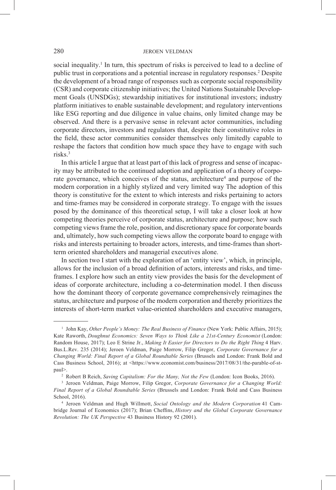social inequality.<sup>1</sup> In turn, this spectrum of risks is perceived to lead to a decline of public trust in corporations and a potential increase in regulatory responses.<sup>2</sup> Despite the development of a broad range of responses such as corporate social responsibility (CSR) and corporate citizenship initiatives; the United Nations Sustainable Development Goals (UNSDGs); stewardship initiatives for institutional investors; industry platform initiatives to enable sustainable development; and regulatory interventions like ESG reporting and due diligence in value chains, only limited change may be observed. And there is a pervasive sense in relevant actor communities, including corporate directors, investors and regulators that, despite their constitutive roles in the field, these actor communities consider themselves only limitedly capable to reshape the factors that condition how much space they have to engage with such risks<sup>3</sup>

In this article I argue that at least part of this lack of progress and sense of incapacity may be attributed to the continued adoption and application of a theory of corporate governance, which conceives of the status, architecture<sup>4</sup> and purpose of the modern corporation in a highly stylized and very limited way The adoption of this theory is constitutive for the extent to which interests and risks pertaining to actors and time-frames may be considered in corporate strategy. To engage with the issues posed by the dominance of this theoretical setup, I will take a closer look at how competing theories perceive of corporate status, architecture and purpose; how such competing views frame the role, position, and discretionary space for corporate boards and, ultimately, how such competing views allow the corporate board to engage with risks and interests pertaining to broader actors, interests, and time-frames than shortterm oriented shareholders and managerial executives alone.

In section two I start with the exploration of an 'entity view', which, in principle, allows for the inclusion of a broad definition of actors, interests and risks, and timeframes. I explore how such an entity view provides the basis for the development of ideas of corporate architecture, including a co-determination model. I then discuss how the dominant theory of corporate governance comprehensively reimagines the status, architecture and purpose of the modern corporation and thereby prioritizes the interests of short-term market value-oriented shareholders and executive managers,

<sup>1</sup> John Kay, *Other People's Money: The Real Business of Finance* (New York: Public Affairs, 2015); Kate Raworth, *Doughnut Economics: Seven Ways to Think Like a 21st-Century Economist* (London: Random House, 2017); Leo E Strine Jr., *Making It Easier for Directors to Do the Right Thing* 4 Harv. Bus.L.Rev. 235 (2014); Jeroen Veldman, Paige Morrow, Filip Gregor, *Corporate Governance for a Changing World: Final Report of a Global Roundtable Series* (Brussels and London: Frank Bold and Cass Business School, 2016); at <https://www.economist.com/business/2017/08/31/the-parable-of-stpaul>.

<sup>2</sup> Robert B Reich, *Saving Capitalism: For the Many, Not the Few* (London: Icon Books, 2016).

<sup>3</sup> Jeroen Veldman, Paige Morrow, Filip Gregor, *Corporate Governance for a Changing World: Final Report of a Global Roundtable Series* (Brussels and London: Frank Bold and Cass Business School, 2016).

<sup>4</sup> Jeroen Veldman and Hugh Willmott, *Social Ontology and the Modern Corporation* 41 Cambridge Journal of Economics (2017); Brian Cheffins, *History and the Global Corporate Governance Revolution: The UK Perspective* 43 Business History 92 (2001).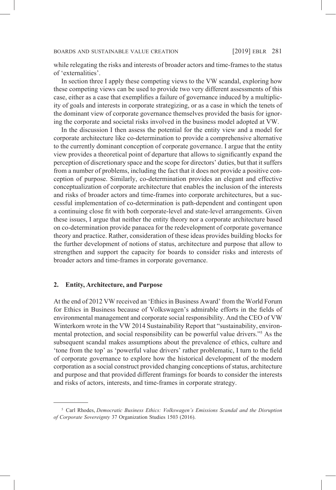while relegating the risks and interests of broader actors and time-frames to the status of 'externalities'.

In section three I apply these competing views to the VW scandal, exploring how these competing views can be used to provide two very different assessments of this case, either as a case that exemplifies a failure of governance induced by a multiplicity of goals and interests in corporate strategizing, or as a case in which the tenets of the dominant view of corporate governance themselves provided the basis for ignoring the corporate and societal risks involved in the business model adopted at VW.

In the discussion I then assess the potential for the entity view and a model for corporate architecture like co-determination to provide a comprehensive alternative to the currently dominant conception of corporate governance. I argue that the entity view provides a theoretical point of departure that allows to significantly expand the perception of discretionary space and the scope for directors' duties, but that it suffers from a number of problems, including the fact that it does not provide a positive conception of purpose. Similarly, co-determination provides an elegant and effective conceptualization of corporate architecture that enables the inclusion of the interests and risks of broader actors and time-frames into corporate architectures, but a successful implementation of co-determination is path-dependent and contingent upon a continuing close fit with both corporate-level and state-level arrangements. Given these issues, I argue that neither the entity theory nor a corporate architecture based on co-determination provide panacea for the redevelopment of corporate governance theory and practice. Rather, consideration of these ideas provides building blocks for the further development of notions of status, architecture and purpose that allow to strengthen and support the capacity for boards to consider risks and interests of broader actors and time-frames in corporate governance.

### **2. Entity, Architecture, and Purpose**

At the end of 2012 VW received an 'Ethics in Business Award' from the World Forum for Ethics in Business because of Volkswagen's admirable efforts in the fields of environmental management and corporate social responsibility. And the CEO of VW Winterkorn wrote in the VW 2014 Sustainability Report that "sustainability, environmental protection, and social responsibility can be powerful value drivers."5 As the subsequent scandal makes assumptions about the prevalence of ethics, culture and 'tone from the top' as 'powerful value drivers' rather problematic, I turn to the field of corporate governance to explore how the historical development of the modern corporation as a social construct provided changing conceptions of status, architecture and purpose and that provided different framings for boards to consider the interests and risks of actors, interests, and time-frames in corporate strategy.

<sup>5</sup> Carl Rhodes, *Democratic Business Ethics: Volkswagen's Emissions Scandal and the Disruption of Corporate Sovereignty* 37 Organization Studies 1503 (2016).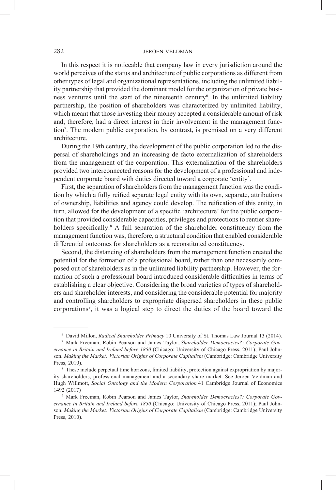In this respect it is noticeable that company law in every jurisdiction around the world perceives of the status and architecture of public corporations as different from other types of legal and organizational representations, including the unlimited liability partnership that provided the dominant model for the organization of private business ventures until the start of the nineteenth century<sup>6</sup>. In the unlimited liability partnership, the position of shareholders was characterized by unlimited liability, which meant that those investing their money accepted a considerable amount of risk and, therefore, had a direct interest in their involvement in the management function7 . The modern public corporation, by contrast, is premised on a very different architecture.

During the 19th century, the development of the public corporation led to the dispersal of shareholdings and an increasing de facto externalization of shareholders from the management of the corporation. This externalization of the shareholders provided two interconnected reasons for the development of a professional and independent corporate board with duties directed toward a corporate 'entity'.

First, the separation of shareholders from the management function was the condition by which a fully reified separate legal entity with its own, separate, attributions of ownership, liabilities and agency could develop. The reification of this entity, in turn, allowed for the development of a specific 'architecture' for the public corporation that provided considerable capacities, privileges and protections to rentier shareholders specifically.<sup>8</sup> A full separation of the shareholder constituency from the management function was, therefore, a structural condition that enabled considerable differential outcomes for shareholders as a reconstituted constituency.

Second, the distancing of shareholders from the management function created the potential for the formation of a professional board, rather than one necessarily composed out of shareholders as in the unlimited liability partnership. However, the formation of such a professional board introduced considerable difficulties in terms of establishing a clear objective. Considering the broad varieties of types of shareholders and shareholder interests, and considering the considerable potential for majority and controlling shareholders to expropriate dispersed shareholders in these public corporations9 , it was a logical step to direct the duties of the board toward the

<sup>6</sup> David Millon, *Radical Shareholder Primacy* 10 University of St. Thomas Law Journal 13 (2014).

<sup>7</sup> Mark Freeman, Robin Pearson and James Taylor, *Shareholder Democracies?: Corporate Governance in Britain and Ireland before 1850* (Chicago: University of Chicago Press, 2011); Paul Johnson. *Making the Market: Victorian Origins of Corporate Capitalism* (Cambridge: Cambridge University Press, 2010).

<sup>8</sup> These include perpetual time horizons, limited liability, protection against expropriation by majority shareholders, professional management and a secondary share market. See Jeroen Veldman and Hugh Willmott, *Social Ontology and the Modern Corporation* 41 Cambridge Journal of Economics 1492 (2017)

<sup>9</sup> Mark Freeman, Robin Pearson and James Taylor, *Shareholder Democracies?: Corporate Governance in Britain and Ireland before 1850* (Chicago: University of Chicago Press, 2011); Paul Johnson. *Making the Market: Victorian Origins of Corporate Capitalism* (Cambridge: Cambridge University Press, 2010).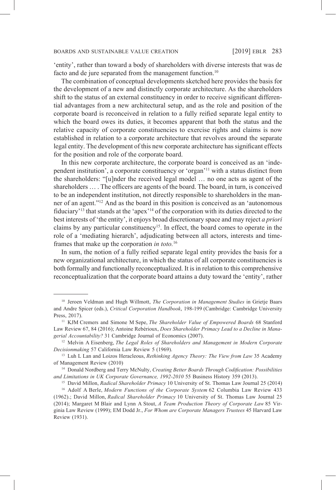'entity', rather than toward a body of shareholders with diverse interests that was de facto and de jure separated from the management function.<sup>10</sup>

The combination of conceptual developments sketched here provides the basis for the development of a new and distinctly corporate architecture. As the shareholders shift to the status of an external constituency in order to receive significant differential advantages from a new architectural setup, and as the role and position of the corporate board is reconceived in relation to a fully reified separate legal entity to which the board owes its duties, it becomes apparent that both the status and the relative capacity of corporate constituencies to exercise rights and claims is now established in relation to a corporate architecture that revolves around the separate legal entity. The development of this new corporate architecture has significant effects for the position and role of the corporate board.

In this new corporate architecture, the corporate board is conceived as an 'independent institution', a corporate constituency or 'organ'11 with a status distinct from the shareholders: "[u]nder the received legal model … no one acts as agent of the shareholders … . The officers are agents of the board. The board, in turn, is conceived to be an independent institution, not directly responsible to shareholders in the manner of an agent."12 And as the board in this position is conceived as an 'autonomous fiduciary'13 that stands at the 'apex'14 of the corporation with its duties directed to the best interests of 'the entity', it enjoys broad discretionary space and may reject *a priori* claims by any particular constituency<sup>15</sup>. In effect, the board comes to operate in the role of a 'mediating hierarch', adjudicating between all actors, interests and timeframes that make up the corporation *in toto.*<sup>16</sup>

In sum, the notion of a fully reified separate legal entity provides the basis for a new organizational architecture, in which the status of all corporate constituencies is both formally and functionally reconceptualized. It is in relation to this comprehensive reconceptualization that the corporate board attains a duty toward the 'entity', rather

<sup>10</sup> Jeroen Veldman and Hugh Willmott, *The Corporation in Management Studies* in Grietje Baars and Andre Spicer (eds.), *Critical Corporation Handbook*, 198-199 (Cambridge: Cambridge University Press, 2017).

<sup>11</sup> KJM Cremers and Simone M Sepe, *The Shareholder Value of Empowered Boards* 68 Stanford Law Review 67, 84 (2016); Antoine Rebérioux, *Does Shareholder Primacy Lead to a Decline in Managerial Accountability?* 31 Cambridge Journal of Economics (2007).

<sup>12</sup> Melvin A Eisenberg, *The Legal Roles of Shareholders and Management in Modern Corporate Decisionmaking* 57 California Law Review 5 (1969).

<sup>13</sup> Luh L Lan and Loizos Heracleous, *Rethinking Agency Theory: The View from Law* 35 Academy of Management Review (2010)

<sup>14</sup> Donald Nordberg and Terry McNulty, *Creating Better Boards Through Codification: Possibilities and Limitations in UK Corporate Governance, 1992-2010* 55 Business History 359 (2013).

<sup>15</sup> David Millon, *Radical Shareholder Primacy* 10 University of St. Thomas Law Journal 25 (2014)

<sup>&</sup>lt;sup>16</sup> Adolf A Berle, *Modern Functions of the Corporate System* 62 Columbia Law Review 433 (1962).; David Millon, *Radical Shareholder Primacy* 10 University of St. Thomas Law Journal 25 (2014); Margaret M Blair and Lynn A Stout, *A Team Production Theory of Corporate Law* 85 Virginia Law Review (1999); EM Dodd Jr., *For Whom are Corporate Managers Trustees* 45 Harvard Law Review (1931).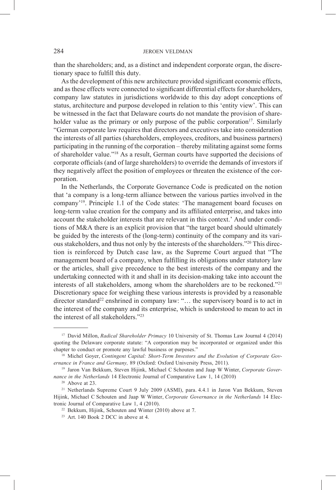than the shareholders; and, as a distinct and independent corporate organ, the discretionary space to fulfill this duty.

As the development of this new architecture provided significant economic effects, and as these effects were connected to significant differential effects for shareholders, company law statutes in jurisdictions worldwide to this day adopt conceptions of status, architecture and purpose developed in relation to this 'entity view'. This can be witnessed in the fact that Delaware courts do not mandate the provision of shareholder value as the primary or only purpose of the public corporation<sup>17</sup>. Similarly "German corporate law requires that directors and executives take into consideration the interests of all parties (shareholders, employees, creditors, and business partners) participating in the running of the corporation – thereby militating against some forms of shareholder value."18 As a result, German courts have supported the decisions of corporate officials (and of large shareholders) to override the demands of investors if they negatively affect the position of employees or threaten the existence of the corporation.

In the Netherlands, the Corporate Governance Code is predicated on the notion that 'a company is a long-term alliance between the various parties involved in the company'19. Principle 1.1 of the Code states: 'The management board focuses on long-term value creation for the company and its affiliated enterprise, and takes into account the stakeholder interests that are relevant in this context.' And under conditions of M&A there is an explicit provision that "the target board should ultimately be guided by the interests of the (long-term) continuity of the company and its various stakeholders, and thus not only by the interests of the shareholders."20 This direction is reinforced by Dutch case law, as the Supreme Court argued that "The management board of a company, when fulfilling its obligations under statutory law or the articles, shall give precedence to the best interests of the company and the undertaking connected with it and shall in its decision-making take into account the interests of all stakeholders, among whom the shareholders are to be reckoned."21 Discretionary space for weighing these various interests is provided by a reasonable director standard<sup>22</sup> enshrined in company law: " $\dots$  the supervisory board is to act in the interest of the company and its enterprise, which is understood to mean to act in the interest of all stakeholders."23

<sup>17</sup> David Millon, *Radical Shareholder Primacy* 10 University of St. Thomas Law Journal 4 (2014) quoting the Delaware corporate statute: "A corporation may be incorporated or organized under this chapter to conduct or promote any lawful business or purposes." 18 Michel Goyer, *Contingent Capital: Short-Term Investors and the Evolution of Corporate Gov-*

*ernance in France and Germany,* 89 (Oxford: Oxford University Press, 2011).

<sup>19</sup> Jaron Van Bekkum, Steven Hijink, Michael C Schouten and Jaap W Winter, *Corporate Governance in the Netherlands* 14 Electronic Journal of Comparative Law 1, 14 (2010)

<sup>20</sup> Above at 23.

<sup>21</sup> Netherlands Supreme Court 9 July 2009 (ASMI), para. 4.4.1 in Jaron Van Bekkum, Steven Hijink, Michael C Schouten and Jaap W Winter, *Corporate Governance in the Netherlands* 14 Electronic Journal of Comparative Law 1, 4 (2010).

<sup>&</sup>lt;sup>22</sup> Bekkum, Hijink, Schouten and Winter (2010) above at 7.<br><sup>23</sup> Art. 140 Book 2 DCC in above at 4.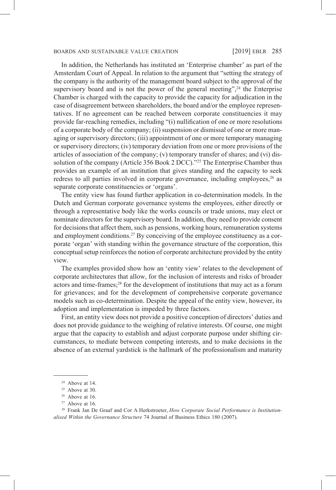In addition, the Netherlands has instituted an 'Enterprise chamber' as part of the Amsterdam Court of Appeal. In relation to the argument that "setting the strategy of the company is the authority of the management board subject to the approval of the supervisory board and is not the power of the general meeting",  $24$  the Enterprise Chamber is charged with the capacity to provide the capacity for adjudication in the case of disagreement between shareholders, the board and/or the employee representatives. If no agreement can be reached between corporate constituencies it may provide far-reaching remedies, including "(i) nullification of one or more resolutions of a corporate body of the company; (ii) suspension or dismissal of one or more managing or supervisory directors; (iii) appointment of one or more temporary managing or supervisory directors; (iv) temporary deviation from one or more provisions of the articles of association of the company; (v) temporary transfer of shares; and (vi) dissolution of the company (Article 356 Book 2 DCC)."<sup>25</sup> The Enterprise Chamber thus provides an example of an institution that gives standing and the capacity to seek redress to all parties involved in corporate governance, including employees, $26$  as separate corporate constituencies or 'organs'.

The entity view has found further application in co-determination models. In the Dutch and German corporate governance systems the employees, either directly or through a representative body like the works councils or trade unions, may elect or nominate directors for the supervisory board. In addition, they need to provide consent for decisions that affect them, such as pensions, working hours, remuneration systems and employment conditions.<sup>27</sup> By conceiving of the employee constituency as a corporate 'organ' with standing within the governance structure of the corporation, this conceptual setup reinforces the notion of corporate architecture provided by the entity view.

The examples provided show how an 'entity view' relates to the development of corporate architectures that allow, for the inclusion of interests and risks of broader actors and time-frames;<sup>28</sup> for the development of institutions that may act as a forum for grievances; and for the development of comprehensive corporate governance models such as co-determination. Despite the appeal of the entity view, however, its adoption and implementation is impeded by three factors.

First, an entity view does not provide a positive conception of directors' duties and does not provide guidance to the weighing of relative interests. Of course, one might argue that the capacity to establish and adjust corporate purpose under shifting circumstances, to mediate between competing interests, and to make decisions in the absence of an external yardstick is the hallmark of the professionalism and maturity

<sup>24</sup> Above at 14.

 $25$  Above at 30.

 $26$  Above at 16.

 $27$  Above at 16.

<sup>28</sup> Frank Jan De Graaf and Cor A Herkstroeter, *How Corporate Social Performance is Institutionalised Within the Governance Structure* 74 Journal of Business Ethics 180 (2007).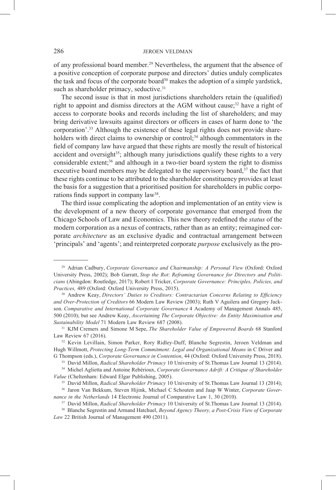of any professional board member.29 Nevertheless, the argument that the absence of a positive conception of corporate purpose and directors' duties unduly complicates the task and focus of the corporate board<sup>30</sup> makes the adoption of a simple yardstick, such as shareholder primacy, seductive.<sup>31</sup>

The second issue is that in most jurisdictions shareholders retain the (qualified) right to appoint and dismiss directors at the AGM without cause;<sup>32</sup> have a right of access to corporate books and records including the list of shareholders; and may bring derivative lawsuits against directors or officers in cases of harm done to 'the corporation'.33 Although the existence of these legal rights does not provide shareholders with direct claims to ownership or control;<sup>34</sup> although commentators in the field of company law have argued that these rights are mostly the result of historical accident and oversight<sup>35</sup>; although many jurisdictions qualify these rights to a very considerable extent; $36$  and although in a two-tier board system the right to dismiss executive board members may be delegated to the supervisory board, $37$  the fact that these rights continue to be attributed to the shareholder constituency provides at least the basis for a suggestion that a prioritised position for shareholders in public corporations finds support in company law<sup>38</sup>.

The third issue complicating the adoption and implementation of an entity view is the development of a new theory of corporate governance that emerged from the Chicago Schools of Law and Economics. This new theory redefined the *status* of the modern corporation as a nexus of contracts, rather than as an entity; reimagined corporate *architecture* as an exclusive dyadic and contractual arrangement between 'principals' and 'agents'; and reinterpreted corporate *purpose* exclusively as the pro-

<sup>33</sup> David Millon, *Radical Shareholder Primacy* 10 University of St.Thomas Law Journal 13 (2014).

<sup>29</sup> Adrian Cadbury, *Corporate Governance and Chairmanship: A Personal View* (Oxford: Oxford University Press, 2002); Bob Garratt, *Stop the Rot*: *Reframing Governance for Directors and Politicians* (Abingdon: Routledge, 2017); Robert I Tricker, *Corporate Governance: Principles, Policies, and Practices,* 489 (Oxford: Oxford University Press, 2015).

<sup>30</sup> Andrew Keay, *Directors' Duties to Creditors: Contractarian Concerns Relating to Efficiency and Over-Protection of Creditors* 66 Modern Law Review (2003); Ruth V Aguilera and Gregory Jackson. *Comparative and International Corporate Governance* 4 Academy of Management Annals 485, 500 (2010); but see Andrew Keay, *Ascertaining The Corporate Objective: An Entity Maximisation and Sustainability Model* 71 Modern Law Review 687 (2008).

<sup>31</sup> KJM Cremers and Simone M Sepe, *The Shareholder Value of Empowered Boards* 68 Stanford Law Review 67 (2016).

<sup>32</sup> Kevin Levillain, Simon Parker, Rory Ridley-Duff, Blanche Segrestin, Jeroen Veldman and Hugh Willmott, *Protecting Long-Term Commitment: Legal and Organizational Means* in C Driver and G Thompson (eds.), *Corporate Governance in Contention*, 44 (Oxford: Oxford University Press, 2018).

<sup>34</sup> Michel Aglietta and Antoine Rebérioux, *Corporate Governance Adrift: A Critique of Shareholder Value* (Cheltenham: Edward Elgar Publishing, 2005).

<sup>35</sup> David Millon, *Radical Shareholder Primacy* 10 University of St.Thomas Law Journal 13 (2014); <sup>36</sup> Jaron Van Bekkum, Steven Hijink, Michael C Schouten and Jaap W Winter, *Corporate Governance in the Netherlands* 14 Electronic Journal of Comparative Law 1, 30 (2010).

<sup>37</sup> David Millon, *Radical Shareholder Primacy* 10 University of St.Thomas Law Journal 13 (2014).

<sup>38</sup> Blanche Segrestin and Armand Hatchuel, *Beyond Agency Theory, a Post-Crisis View of Corporate Law* 22 British Journal of Management 490 (2011).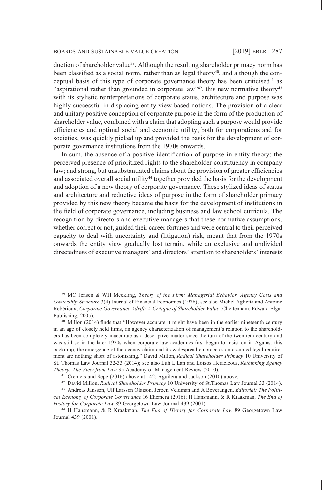duction of shareholder value<sup>39</sup>. Although the resulting shareholder primacy norm has been classified as a social norm, rather than as legal theory<sup>40</sup>, and although the conceptual basis of this type of corporate governance theory has been criticised<sup>41</sup> as "aspirational rather than grounded in corporate law"<sup>42</sup>, this new normative theory<sup>43</sup> with its stylistic reinterpretations of corporate status, architecture and purpose was highly successful in displacing entity view-based notions. The provision of a clear and unitary positive conception of corporate purpose in the form of the production of shareholder value, combined with a claim that adopting such a purpose would provide efficiencies and optimal social and economic utility, both for corporations and for societies, was quickly picked up and provided the basis for the development of corporate governance institutions from the 1970s onwards.

In sum, the absence of a positive identification of purpose in entity theory; the perceived presence of prioritized rights to the shareholder constituency in company law; and strong, but unsubstantiated claims about the provision of greater efficiencies and associated overall social utility<sup>44</sup> together provided the basis for the development and adoption of a new theory of corporate governance. These stylized ideas of status and architecture and reductive ideas of purpose in the form of shareholder primacy provided by this new theory became the basis for the development of institutions in the field of corporate governance, including business and law school curricula. The recognition by directors and executive managers that these normative assumptions, whether correct or not, guided their career fortunes and were central to their perceived capacity to deal with uncertainty and (litigation) risk, meant that from the 1970s onwards the entity view gradually lost terrain, while an exclusive and undivided directedness of executive managers' and directors' attention to shareholders' interests

<sup>39</sup> MC Jensen & WH Meckling, *Theory of the Firm: Managerial Behavior, Agency Costs and Ownership Structure* 3(4) Journal of Financial Economics (1976); see also Michel Aglietta and Antoine Rebérioux, *Corporate Governance Adrift: A Critique of Shareholder Value* (Cheltenham: Edward Elgar Publishing, 2005).

<sup>&</sup>lt;sup>40</sup> Millon (2014) finds that "However accurate it might have been in the earlier nineteenth century in an age of closely held firms, an agency characterization of management's relation to the shareholders has been completely inaccurate as a descriptive matter since the turn of the twentieth century and was still so in the later 1970s when corporate law academics first began to insist on it. Against this backdrop, the emergence of the agency claim and its widespread embrace as an assumed legal requirement are nothing short of astonishing." David Millon, *Radical Shareholder Primacy* 10 University of St. Thomas Law Journal 32-33 (2014); see also Luh L Lan and Loizos Heracleous, *Rethinking Agency Theory: The View from Law* 35 Academy of Management Review (2010).

<sup>&</sup>lt;sup>41</sup> Cremers and Sepe (2016) above at 142; Aguilera and Jackson (2010) above.

<sup>42</sup> David Millon, *Radical Shareholder Primacy* 10 University of St.Thomas Law Journal 33 (2014).

<sup>43</sup> Andreas Jansson, Ulf Larsson Olaison, Jeroen Veldman and A Beverungen. *Editorial: The Political Economy of Corporate Governance* 16 Ehemera (2016); H Hansmann, & R Kraakman, *The End of History for Corporate Law* 89 Georgetown Law Journal 439 (2001). 44 H Hansmann, & R Kraakman, *The End of History for Corporate Law* 89 Georgetown Law

Journal 439 (2001).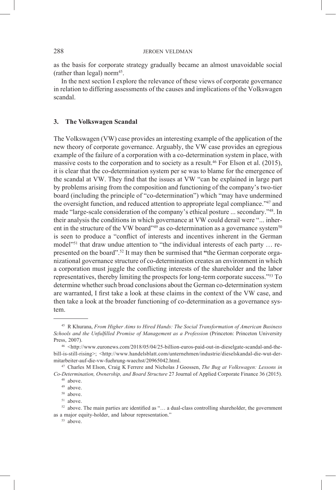as the basis for corporate strategy gradually became an almost unavoidable social (rather than legal) norm<sup>45</sup>.

In the next section I explore the relevance of these views of corporate governance in relation to differing assessments of the causes and implications of the Volkswagen scandal.

### **3. The Volkswagen Scandal**

The Volkswagen (VW) case provides an interesting example of the application of the new theory of corporate governance. Arguably, the VW case provides an egregious example of the failure of a corporation with a co-determination system in place, with massive costs to the corporation and to society as a result.<sup>46</sup> For Elson et al. (2015), it is clear that the co-determination system per se was to blame for the emergence of the scandal at VW. They find that the issues at VW "can be explained in large part by problems arising from the composition and functioning of the company's two-tier board (including the principle of "co-determination") which "may have undermined the oversight function, and reduced attention to appropriate legal compliance."47 and made "large-scale consideration of the company's ethical posture ... secondary."<sup>48</sup>. In their analysis the conditions in which governance at VW could derail were "... inherent in the structure of the VW board"<sup>49</sup> as co-determination as a governance system<sup>50</sup> is seen to produce a "conflict of interests and incentives inherent in the German model<sup>"51</sup> that draw undue attention to "the individual interests of each party ... represented on the board".52 It may then be surmised that **"**the German corporate organizational governance structure of co-determination creates an environment in which a corporation must juggle the conflicting interests of the shareholder and the labor representatives, thereby limiting the prospects for long-term corporate success."53 To determine whether such broad conclusions about the German co-determination system are warranted, I first take a look at these claims in the context of the VW case, and then take a look at the broader functioning of co-determination as a governance system.

<sup>45</sup> R Khurana, *From Higher Aims to Hired Hands: The Social Transformation of American Business Schools and the Unfulfilled Promise of Management as a Profession* (Princeton: Princeton University Press, 2007).

<sup>46</sup> <http://www.euronews.com/2018/05/04/25-billion-euros-paid-out-in-dieselgate-scandal-and-thebill-is-still-rising>; <http://www.handelsblatt.com/unternehmen/industrie/dieselskandal-die-wut-dermitarbeiter-auf-die-vw-fuehrung-waechst/20965042.html. 47 Charles M Elson, Craig K Ferrere and Nicholas J Goossen, *The Bug at Volkswagen: Lessons in* 

*Co-Determination, Ownership, and Board Structure* 27 Journal of Applied Corporate Finance 36 (2015).

<sup>48</sup> above.

<sup>49</sup> above.

<sup>50</sup> above.

<sup>&</sup>lt;sup>51</sup> above.

 $52$  above. The main parties are identified as "... a dual-class controlling shareholder, the government as a major equity-holder, and labour representation."

<sup>53</sup> above.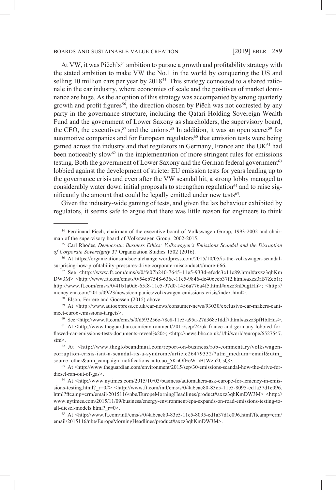At VW, it was Piëch's<sup>54</sup> ambition to pursue a growth and profitability strategy with the stated ambition to make VW the No.1 in the world by conquering the US and selling 10 million cars per year by  $2018^{55}$ . This strategy connected to a shared rationale in the car industry, where economies of scale and the positives of market dominance are huge. As the adoption of this strategy was accompanied by strong quarterly growth and profit figures<sup>56</sup>, the direction chosen by Piëch was not contested by any party in the governance structure, including the Qatari Holding Sovereign Wealth Fund and the government of Lower Saxony as shareholders, the supervisory board, the CEO, the executives,<sup>57</sup> and the unions.<sup>58</sup> In addition, it was an open secret<sup>59</sup> for automotive companies and for European regulators<sup>60</sup> that emission tests were being gamed across the industry and that regulators in Germany, France and the UK<sup>61</sup> had been noticeably slow $62$  in the implementation of more stringent rules for emissions testing. Both the government of Lower Saxony and the German federal government<sup>63</sup> lobbied against the development of stricter EU emission tests for years leading up to the governance crisis and even after the VW scandal hit, a strong lobby managed to considerably water down initial proposals to strengthen regulation<sup> $64$ </sup> and to raise significantly the amount that could be legally emitted under new tests<sup>65</sup>.

Given the industry-wide gaming of tests, and given the lax behaviour exhibited by regulators, it seems safe to argue that there was little reason for engineers to think

<sup>58</sup> Elson, Ferrere and Goossen (2015) above.

<sup>59</sup> At <http://www.autoexpress.co.uk/car-news/consumer-news/93030/exclusive-car-makers-cantmeet-euro6-emissions-targets>.

<sup>60</sup> See <http://www.ft.com/cms/s/0/d593256c-78c8-11e5-a95a-27d368e1ddf7.html#axzz3pfHbIHds>.

<sup>54</sup> Ferdinand Piëch, chairman of the executive board of Volkswagen Group, 1993-2002 and chairman of the supervisory board of Volkswagen Group, 2002-2015.

<sup>55</sup> Carl Rhodes, *Democratic Business Ethics: Volkswagen's Emissions Scandal and the Disruption of Corporate Sovereignty* 37 Organization Studies 1502 (2016).

<sup>56</sup> At https://organizationsandsocialchange.wordpress.com/2015/10/05/is-the-volkswagen-scandalsurprising-how-profitability-pressures-drive-corporate-misconduct/#more-666.

 $57$  See <http://www.ft.com/cms/s/0/fe07b240-7645-11e5-933d-efcdc3c11c89.html#axzz3qhKm DW3M> <http://www.ft.com/cms/s/0/54eb7548-636c-11e5-9846-de406ccb37f2.html#axzz3rB7Zeb1i; http://www.ft.com/cms/s/0/41b1a0d6-65f8-11e5-97d0-1456a776a4f5.html#axzz3nDugtHli>; <http:// money.cnn.com/2015/09/23/news/companies/volkswagen-emissions-crisis/index.html>.

<sup>61</sup> At <http://www.theguardian.com/environment/2015/sep/24/uk-france-and-germany-lobbied-forflawed-car-emissions-tests-documents-reveal%20>; <http://news.bbc.co.uk/1/hi/world/europe/6527547. stm>.

<sup>62</sup> At <http://www.theglobeandmail.com/report-on-business/rob-commentary/volkswagencorruption-crisis-isnt-a-scandal-its-a-syndrome/article26479332/?utm\_medium=email&utm\_ source=other&utm\_campaign=notifications.auto.uo\_5KnOfEeW-aBJWzh2UsQ>.

<sup>63</sup> At <http://www.theguardian.com/environment/2015/sep/30/emissions-scandal-how-the-drive-fordiesel-ran-out-of-gas>.

<sup>64</sup> At <http://www.nytimes.com/2015/10/03/business/automakers-ask-europe-for-leniency-in-emissions-testing.html? $r=0$ # $>$  <http://www.ft.com/intl/cms/s/0/4a6cac80-83c5-11e5-8095-ed1a37d1e096. html?ftcamp=crm/email/2015116/nbe/EuropeMorningHeadlines/product#axzz3qhKmDW3M> <http:// www.nytimes.com/2015/11/09/business/energy-environment/epa-expands-on-road-emissions-testing-toall-diesel-models.html?\_r=0>.

<sup>65</sup> At <http://www.ft.com/intl/cms/s/0/4a6cac80-83c5-11e5-8095-ed1a37d1e096.html?ftcamp=crm/ email/2015116/nbe/EuropeMorningHeadlines/product#axzz3qhKmDW3M>.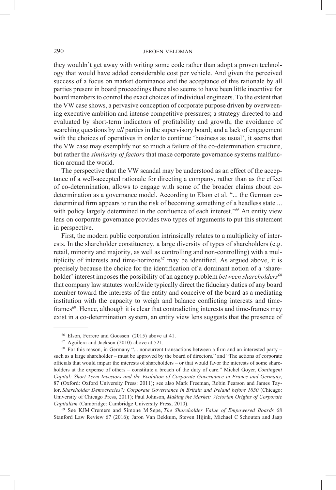they wouldn't get away with writing some code rather than adopt a proven technology that would have added considerable cost per vehicle. And given the perceived success of a focus on market dominance and the acceptance of this rationale by all parties present in board proceedings there also seems to have been little incentive for board members to control the exact choices of individual engineers. To the extent that the VW case shows, a pervasive conception of corporate purpose driven by overweening executive ambition and intense competitive pressures; a strategy directed to and evaluated by short-term indicators of profitability and growth; the avoidance of searching questions by *all* parties in the supervisory board; and a lack of engagement with the choices of operatives in order to continue 'business as usual', it seems that the VW case may exemplify not so much a failure of the co-determination structure, but rather the *similarity of factors* that make corporate governance systems malfunction around the world.

The perspective that the VW scandal may be understood as an effect of the acceptance of a well-accepted rationale for directing a company, rather than as the effect of co-determination, allows to engage with some of the broader claims about codetermination as a governance model. According to Elson et al. "... the German codetermined firm appears to run the risk of becoming something of a headless state ... with policy largely determined in the confluence of each interest."<sup>66</sup> An entity view lens on corporate governance provides two types of arguments to put this statement in perspective.

First, the modern public corporation intrinsically relates to a multiplicity of interests. In the shareholder constituency, a large diversity of types of shareholders (e.g. retail, minority and majority, as well as controlling and non-controlling) with a multiplicity of interests and time-horizons<sup> $67$ </sup> may be identified. As argued above, it is precisely because the choice for the identification of a dominant notion of a 'shareholder' interest imposes the possibility of an agency problem *between shareholders*<sup>68</sup> that company law statutes worldwide typically direct the fiduciary duties of any board member toward the interests of the entity and conceive of the board as a mediating institution with the capacity to weigh and balance conflicting interests and timeframes<sup>69</sup>. Hence, although it is clear that contradicting interests and time-frames may exist in a co-determination system, an entity view lens suggests that the presence of

<sup>69</sup> See KJM Cremers and Simone M Sepe, *The Shareholder Value of Empowered Boards* 68 Stanford Law Review 67 (2016); Jaron Van Bekkum, Steven Hijink, Michael C Schouten and Jaap

<sup>66</sup> Elson, Ferrere and Goossen (2015) above at 41.

<sup>67</sup> Aguilera and Jackson (2010) above at 521.

<sup>68</sup> For this reason, in Germany "... noncurrent transactions between a firm and an interested party – such as a large shareholder – must be approved by the board of directors." and "The actions of corporate officials that would impair the interests of shareholders – or that would favor the interests of some shareholders at the expense of others – constitute a breach of the duty of care." Michel Goyer, *Contingent Capital: Short-Term Investors and the Evolution of Corporate Governance in France and Germany*, 87 (Oxford: Oxford University Press: 2011)**;** see also Mark Freeman, Robin Pearson and James Taylor, *Shareholder Democracies?: Corporate Governance in Britain and Ireland before 1850* (Chicago: University of Chicago Press, 2011); Paul Johnson, *Making the Market: Victorian Origins of Corporate Capitalism* (Cambridge: Cambridge University Press, 2010).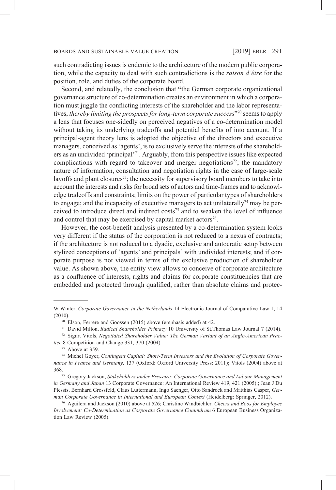such contradicting issues is endemic to the architecture of the modern public corporation, while the capacity to deal with such contradictions is the *raison d'être* for the position, role, and duties of the corporate board.

Second, and relatedly, the conclusion that **"**the German corporate organizational governance structure of co-determination creates an environment in which a corporation must juggle the conflicting interests of the shareholder and the labor representatives, *thereby limiting the prospects for long-term corporate success*"70 seems to apply a lens that focuses one-sidedly on perceived negatives of a co-determination model without taking its underlying tradeoffs and potential benefits of into account. If a principal-agent theory lens is adopted the objective of the directors and executive managers, conceived as 'agents', is to exclusively serve the interests of the shareholders as an undivided 'principal'71. Arguably, from this perspective issues like expected complications with regard to takeover and merger negotiations<sup>72</sup>; the mandatory nature of information, consultation and negotiation rights in the case of large-scale layoffs and plant closures<sup>73</sup>; the necessity for supervisory board members to take into account the interests and risks for broad sets of actors and time-frames and to acknowledge tradeoffs and constraints; limits on the power of particular types of shareholders to engage; and the incapacity of executive managers to act unilaterally<sup>74</sup> may be perceived to introduce direct and indirect costs75 and to weaken the level of influence and control that may be exercised by capital market actors<sup>76</sup>.

However, the cost-benefit analysis presented by a co-determination system looks very different if the status of the corporation is not reduced to a nexus of contracts; if the architecture is not reduced to a dyadic, exclusive and autocratic setup between stylized conceptions of 'agents' and principals' with undivided interests; and if corporate purpose is not viewed in terms of the exclusive production of shareholder value. As shown above, the entity view allows to conceive of corporate architecture as a confluence of interests, rights and claims for corporate constituencies that are embedded and protected through qualified, rather than absolute claims and protec-

W Winter, *Corporate Governance in the Netherlands* 14 Electronic Journal of Comparative Law 1, 14 (2010).

<sup>70</sup> Elson, Ferrere and Goossen (2015) above (emphasis added) at 42. 71 David Millon, *Radical Shareholder Primacy* 10 University of St.Thomas Law Journal 7 (2014).

<sup>72</sup> Sigurt Vitols, *Negotiated Shareholder Value: The German Variant of an Anglo-American Practice* 8 Competition and Change 331, 370 (2004).

 $73$  Above at 359.

<sup>74</sup> Michel Goyer, *Contingent Capital: Short-Term Investors and the Evolution of Corporate Governance in France and Germany,* 137 (Oxford: Oxford University Press: 2011); Vitols (2004) above at 368.75 Gregory Jackson, *Stakeholders under Pressure: Corporate Governance and Labour Management* 

*in Germany and Japan* 13 Corporate Governance: An International Review 419, 421 (2005).; Jean J Du Plessis, Bernhard Grossfeld, Claus Luttermann, Ingo Saenger, Otto Sandrock and Matthias Casper, *German Corporate Governance in International and European Context* (Heidelberg: Springer, 2012).

<sup>76</sup> Aguilera and Jackson (2010) above at 526; Christine Windbichler. *Cheers and Boos for Employee Involvement: Co-Determination as Corporate Governance Conundrum 6* European Business Organization Law Review (2005).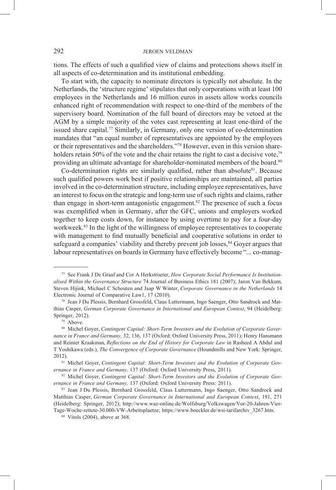tions. The effects of such a qualified view of claims and protections shows itself in all aspects of co-determination and its institutional embedding.

To start with, the capacity to nominate directors is typically not absolute. In the Netherlands, the 'structure regime' stipulates that only corporations with at least 100 employees in the Netherlands and 16 million euros in assets allow works councils enhanced right of recommendation with respect to one-third of the members of the supervisory board. Nomination of the full board of directors may be vetoed at the AGM by a simple majority of the votes cast representing at least one-third of the issued share capital.77 Similarly, in Germany, only one version of co-determination mandates that "an equal number of representatives are appointed by the employees or their representatives and the shareholders."78 However, even in this version shareholders retain 50% of the vote and the chair retains the right to cast a decisive vote, $79$ providing an ultimate advantage for shareholder-nominated members of the board.<sup>80</sup>

Co-determination rights are similarly qualified, rather than absolute<sup>81</sup>. Because such qualified powers work best if positive relationships are maintained, all parties involved in the co-determination structure, including employee representatives, have an interest to focus on the strategic and long-term use of such rights and claims, rather than engage in short-term antagonistic engagement.<sup>82</sup> The presence of such a focus was exemplified when in Germany, after the GFC, unions and employers worked together to keep costs down, for instance by using overtime to pay for a four-day workweek.<sup>83</sup> In the light of the willingness of employee representatives to cooperate with management to find mutually beneficial and cooperative solutions in order to safeguard a companies' viability and thereby prevent job losses,<sup>84</sup> Goyer argues that labour representatives on boards in Germany have effectively become "... co-manag-

<sup>77</sup> See Frank J De Graaf and Cor A Herkstroeter, *How Corporate Social Performance Is Institutionalised Within the Governance Structure* 74 Journal of Business Ethics 181 (2007); Jaron Van Bekkum, Steven Hijink, Michael C Schouten and Jaap W Winter, *Corporate Governance in the Netherlands* 14 Electronic Journal of Comparative Law1, 17 (2010).

<sup>78</sup> Jean J Du Plessis, Bernhard Grossfeld, Claus Luttermann, Ingo Saenger, Otto Sandrock and Matthias Casper, *German Corporate Governance in International and European Context*, 94 (Heidelberg: Springer, 2012).

<sup>79</sup> Above.

<sup>80</sup> Michel Goyer, *Contingent Capital: Short-Term Investors and the Evolution of Corporate Governance in France and Germany,* 32, 136, 137 (Oxford: Oxford University Press, 2011); Henry Hansmann and Reinier Kraakman, *Reflections on the End of History for Corporate Law* in Rasheed A Abdul and T Yoshikawa (eds.), *The Convergence of Corporate Governance* (Houndmills and New York: Springer, 2012).

<sup>81</sup> Michel Goyer, *Contingent Capital: Short-Term Investors and the Evolution of Corporate Governance in France and Germany,* 137 (Oxford: Oxford University Press, 2011).

<sup>82</sup> Michel Goyer, *Contingent Capital: Short-Term Investors and the Evolution of Corporate Governance in France and Germany,* 137 (Oxford: Oxford University Press: 2011).

<sup>83</sup> Jean J Du Plessis, Bernhard Grossfeld, Claus Luttermann, Ingo Saenger, Otto Sandrock and Matthias Casper, *German Corporate Governance in International and European Context*, 191, 271 (Heidelberg: Springer, 2012); http://www.waz-online.de/Wolfsburg/Volkswagen/Vor-20-Jahren-Vier-Tage-Woche-rettete-30.000-VW-Arbeitsplaetze; https://www.boeckler.de/wsi-tarifarchiv\_3267.htm.

<sup>84</sup> Vitols (2004), above at 368.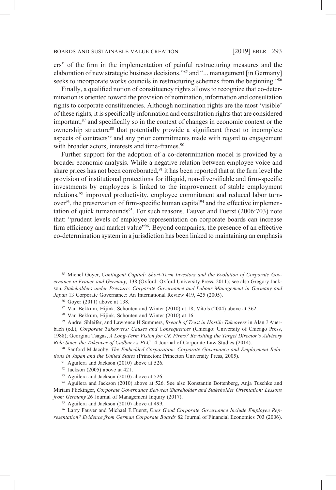ers" of the firm in the implementation of painful restructuring measures and the elaboration of new strategic business decisions."85 and "... management [in Germany] seeks to incorporate works councils in restructuring schemes from the beginning."<sup>86</sup>

Finally, a qualified notion of constituency rights allows to recognize that co-determination is oriented toward the provision of nomination, information and consultation rights to corporate constituencies. Although nomination rights are the most 'visible' of these rights, it is specifically information and consultation rights that are considered important, $s<sup>7</sup>$  and specifically so in the context of changes in economic context or the ownership structure<sup>88</sup> that potentially provide a significant threat to incomplete aspects of contracts<sup>89</sup> and any prior commitments made with regard to engagement with broader actors, interests and time-frames.<sup>90</sup>

Further support for the adoption of a co-determination model is provided by a broader economic analysis. While a negative relation between employee voice and share prices has not been corroborated,<sup>91</sup> it has been reported that at the firm level the provision of institutional protections for illiquid, non-diversifiable and firm-specific investments by employees is linked to the improvement of stable employment relations,<sup>92</sup> improved productivity, employee commitment and reduced labor turn $over<sup>93</sup>$ , the preservation of firm-specific human capital<sup>94</sup> and the effective implementation of quick turnarounds<sup>95</sup>. For such reasons, Fauver and Fuerst  $(2006:703)$  note that: "prudent levels of employee representation on corporate boards can increase firm efficiency and market value<sup>"96</sup>. Beyond companies, the presence of an effective co-determination system in a jurisdiction has been linked to maintaining an emphasis

- <sup>91</sup> Aguilera and Jackson (2010) above at 526.
- $92$  Jackson (2005) above at 421.
- <sup>93</sup> Aguilera and Jackson (2010) above at 526.

<sup>85</sup> Michel Goyer, *Contingent Capital: Short-Term Investors and the Evolution of Corporate Governance in France and Germany,* 138 (Oxford: Oxford University Press, 2011); see also Gregory Jackson, *Stakeholders under Pressure: Corporate Governance and Labour Management in Germany and Japan* 13 Corporate Governance: An International Review 419, 425 (2005).

<sup>86</sup> Goyer (2011) above at 138.

<sup>87</sup> Van Bekkum, Hijink, Schouten and Winter (2010) at 18; Vitols (2004) above at 362. 88 Van Bekkum, Hijink, Schouten and Winter (2010) at 16.

<sup>89</sup> Andrei Shleifer, and Lawrence H Summers, *Breach of Trust in Hostile Takeovers* in Alan J Auerbach (ed.), *Corporate Takeovers: Causes and Consequences* (Chicago: University of Chicago Press, 1988); Georgina Tsagas, *A Long-Term Vision for UK Firms? Revisiting the Target Director's Advisory Role Since the Takeover of Cadbury's PLC* 14 Journal of Corporate Law Studies (2014).

<sup>90</sup> Sanford M Jacoby, *The Embedded Corporation: Corporate Governance and Employment Relations in Japan and the United States* (Princeton: Princeton University Press, 2005).

<sup>94</sup> Aguilera and Jackson (2010) above at 526. See also Konstantin Bottenberg, Anja Tuschke and Miriam Flickinger, *Corporate Governance Between Shareholder and Stakeholder Orientation: Lessons from Germany* 26 Journal of Management Inquiry (2017).

<sup>&</sup>lt;sup>95</sup> Aguilera and Jackson (2010) above at 499.

<sup>96</sup> Larry Fauver and Michael E Fuerst, *Does Good Corporate Governance Include Employee Representation? Evidence from German Corporate Boards* 82 Journal of Financial Economics 703 (2006).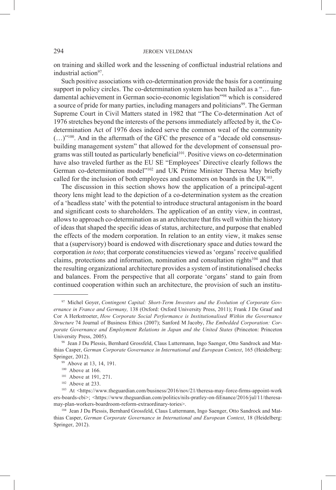on training and skilled work and the lessening of conflictual industrial relations and industrial action<sup>97</sup>.

Such positive associations with co-determination provide the basis for a continuing support in policy circles. The co-determination system has been hailed as a "… fundamental achievement in German socio-economic legislation"98 which is considered a source of pride for many parties, including managers and politicians<sup>99</sup>. The German Supreme Court in Civil Matters stated in 1982 that "The Co-determination Act of 1976 stretches beyond the interests of the persons immediately affected by it, the Codetermination Act of 1976 does indeed serve the common weal of the community (…)"100. And in the aftermath of the GFC the presence of a "decade old consensusbuilding management system" that allowed for the development of consensual programs was still touted as particularly beneficial<sup>101</sup>. Positive views on co-determination have also traveled further as the EU SE "Employees' Directive clearly follows the German co-determination model"102 and UK Prime Minister Theresa May briefly called for the inclusion of both employees and customers on boards in the  $UK^{103}$ .

The discussion in this section shows how the application of a principal-agent theory lens might lead to the depiction of a co-determination system as the creation of a 'headless state' with the potential to introduce structural antagonism in the board and significant costs to shareholders. The application of an entity view, in contrast, allows to approach co-determination as an architecture that fits well within the history of ideas that shaped the specific ideas of status, architecture, and purpose that enabled the effects of the modern corporation. In relation to an entity view, it makes sense that a (supervisory) board is endowed with discretionary space and duties toward the corporation *in toto*; that corporate constituencies viewed as 'organs' receive qualified claims, protections and information, nomination and consultation rights<sup>104</sup> and that the resulting organizational architecture provides a system of institutionalised checks and balances. From the perspective that all corporate 'organs' stand to gain from continued cooperation within such an architecture, the provision of such an institu-

<sup>97</sup> Michel Goyer, *Contingent Capital: Short-Term Investors and the Evolution of Corporate Governance in France and Germany,* 138 (Oxford: Oxford University Press, 2011); Frank J De Graaf and Cor A Herkstroeter, *How Corporate Social Performance is Institutionalised Within the Governance Structure* 74 Journal of Business Ethics (2007); Sanford M Jacoby, *The Embedded Corporation: Corporate Governance and Employment Relations in Japan and the United States* (Princeton: Princeton University Press, 2005).

<sup>98</sup> Jean J Du Plessis, Bernhard Grossfeld, Claus Luttermann, Ingo Saenger, Otto Sandrock and Matthias Casper, *German Corporate Governance in International and European Context*, 165 (Heidelberg: Springer, 2012).

<sup>99</sup> Above at 13, 14, 191.

<sup>&</sup>lt;sup>100</sup> Above at 166.

<sup>&</sup>lt;sup>101</sup> Above at 191, 271.

<sup>102</sup> Above at 233.

<sup>103</sup> At <https://www.theguardian.com/business/2016/nov/21/theresa-may-force-firms-appoint-work ers-boards-cbi>; <https://www.theguardian.com/politics/nils-pratley-on-fiEnance/2016/jul/11/theresamay-plan-workers-boardroom-reform-extraordinary-tories>.

<sup>104</sup> Jean J Du Plessis, Bernhard Grossfeld, Claus Luttermann, Ingo Saenger, Otto Sandrock and Matthias Casper, *German Corporate Governance in International and European Context*, 18 (Heidelberg: Springer, 2012).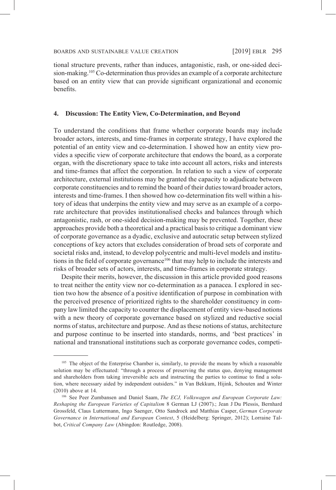tional structure prevents, rather than induces, antagonistic, rash, or one-sided decision-making.<sup>105</sup> Co-determination thus provides an example of a corporate architecture based on an entity view that can provide significant organizational and economic benefits.

### **4. Discussion: The Entity View, Co-Determination, and Beyond**

To understand the conditions that frame whether corporate boards may include broader actors, interests, and time-frames in corporate strategy, I have explored the potential of an entity view and co-determination. I showed how an entity view provides a specific view of corporate architecture that endows the board, as a corporate organ, with the discretionary space to take into account all actors, risks and interests and time-frames that affect the corporation. In relation to such a view of corporate architecture, external institutions may be granted the capacity to adjudicate between corporate constituencies and to remind the board of their duties toward broader actors, interests and time-frames. I then showed how co-determination fits well within a history of ideas that underpins the entity view and may serve as an example of a corporate architecture that provides institutionalised checks and balances through which antagonistic, rash, or one-sided decision-making may be prevented. Together, these approaches provide both a theoretical and a practical basis to critique a dominant view of corporate governance as a dyadic, exclusive and autocratic setup between stylized conceptions of key actors that excludes consideration of broad sets of corporate and societal risks and, instead, to develop polycentric and multi-level models and institutions in the field of corporate governance<sup>106</sup> that may help to include the interests and risks of broader sets of actors, interests, and time-frames in corporate strategy.

Despite their merits, however, the discussion in this article provided good reasons to treat neither the entity view nor co-determination as a panacea. I explored in section two how the absence of a positive identification of purpose in combination with the perceived presence of prioritized rights to the shareholder constituency in company law limited the capacity to counter the displacement of entity view-based notions with a new theory of corporate governance based on stylized and reductive social norms of status, architecture and purpose. And as these notions of status, architecture and purpose continue to be inserted into standards, norms, and 'best practices' in national and transnational institutions such as corporate governance codes, competi-

<sup>&</sup>lt;sup>105</sup> The object of the Enterprise Chamber is, similarly, to provide the means by which a reasonable solution may be effectuated: "through a process of preserving the status quo, denying management and shareholders from taking irreversible acts and instructing the parties to continue to find a solution, where necessary aided by independent outsiders." in Van Bekkum, Hijink, Schouten and Winter (2010) above at 14.

<sup>106</sup> See Peer Zumbansen and Daniel Saam, *The ECJ, Volkswagen and European Corporate Law: Reshaping the European Varieties of Capitalism* 8 German LJ (2007).; Jean J Du Plessis, Bernhard Grossfeld, Claus Luttermann, Ingo Saenger, Otto Sandrock and Matthias Casper, *German Corporate Governance in International and European Context*, 5 (Heidelberg: Springer, 2012); Lorraine Talbot, *Critical Company Law* (Abingdon: Routledge, 2008).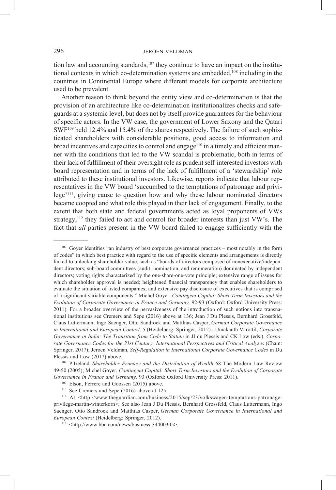tion law and accounting standards,<sup>107</sup> they continue to have an impact on the institutional contexts in which co-determination systems are embedded,108 including in the countries in Continental Europe where different models for corporate architecture used to be prevalent.

Another reason to think beyond the entity view and co-determination is that the provision of an architecture like co-determination institutionalizes checks and safeguards at a systemic level, but does not by itself provide guarantees for the behaviour of specific actors. In the VW case, the government of Lower Saxony and the Qatari SWF<sup>109</sup> held 12.4% and 15.4% of the shares respectively. The failure of such sophisticated shareholders with considerable positions, good access to information and broad incentives and capacities to control and engage<sup>110</sup> in a timely and efficient manner with the conditions that led to the VW scandal is problematic, both in terms of their lack of fulfillment of their oversight role as prudent self-interested investors with board representation and in terms of the lack of fulfillment of a 'stewardship' role attributed to these institutional investors. Likewise, reports indicate that labour representatives in the VW board 'succumbed to the temptations of patronage and privilege'111, giving cause to question how and why these labour nominated directors became coopted and what role this played in their lack of engagement. Finally, to the extent that both state and federal governments acted as loyal proponents of VWs strategy,  $112$  they failed to act and control for broader interests than just VW's. The fact that *all* parties present in the VW board failed to engage sufficiently with the

<sup>&</sup>lt;sup>107</sup> Goyer identifies "an industry of best corporate governance practices – most notably in the form of codes" in which best practice with regard to the use of specific elements and arrangements is directly linked to unlocking shareholder value, such as "boards of directors composed of nonexecutive/independent directors; sub-board committees (audit, nomination, and remuneration) dominated by independent directors; voting rights characterized by the one-share-one-vote principle; extensive range of issues for which shareholder approval is needed; heightened financial transparency that enables shareholders to evaluate the situation of listed companies; and extensive pay disclosure of executives that is comprised of a significant variable components." Michel Goyer, *Contingent Capital: Short-Term Investors and the Evolution of Corporate Governance in France and Germany,* 92-93 (Oxford: Oxford University Press: 2011). For a broader overview of the pervasiveness of the introduction of such notions into transnational institutions see Cremers and Sepe (2016) above at 136; Jean J Du Plessis, Bernhard Grossfeld, Claus Luttermann, Ingo Saenger, Otto Sandrock and Matthias Casper, *German Corporate Governance in International and European Context,* 5 (Heidelberg: Springer, 2012).; Umakanth Varottil, *Corporate Governance in India: The Transition from Code to Statute* in JJ du Plessis and CK Low (eds.), *Corporate Governance Codes for the 21st Century: International Perspectives and Critical Analyses* (Cham: Springer, 2017); Jeroen Veldman, *Self-Regulation in International Corporate Governance Codes* in Du Plessis and Low (2017) above.

<sup>108</sup> P Ireland. *Shareholder Primacy and the Distribution of Wealth* 68 The Modern Law Review 49-50 (2005); Michel Goyer, *Contingent Capital: Short-Term Investors and the Evolution of Corporate Governance in France and Germany,* 93 (Oxford: Oxford University Press: 2011).

<sup>109</sup> Elson, Ferrere and Goossen (2015) above.

<sup>110</sup> See Cremers and Sepe (2016) above at 125.

<sup>111</sup> At <http://www.theguardian.com/business/2015/sep/23/volkswagen-temptations-patronageprivilege-martin-winterkorn>; See also Jean J Du Plessis, Bernhard Grossfeld, Claus Luttermann, Ingo Saenger, Otto Sandrock and Matthias Casper, *German Corporate Governance in International and European Context* (Heidelberg: Springer, 2012).

<sup>112</sup> <http://www.bbc.com/news/business-34400305>.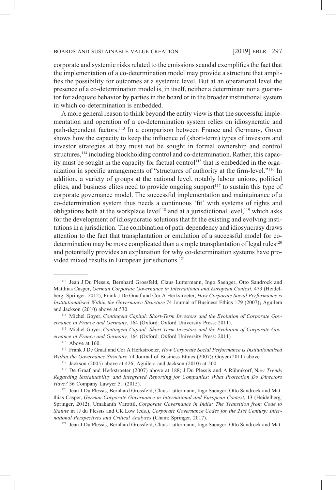corporate and systemic risks related to the emissions scandal exemplifies the fact that the implementation of a co-determination model may provide a structure that amplifies the possibility for outcomes at a systemic level. But at an operational level the presence of a co-determination model is, in itself, neither a determinant nor a guarantor for adequate behavior by parties in the board or in the broader institutional system in which co-determination is embedded.

A more general reason to think beyond the entity view is that the successful implementation and operation of a co-determination system relies on idiosyncratic and path-dependent factors.<sup>113</sup> In a comparison between France and Germany, Goyer shows how the capacity to keep the influence of (short-term) types of investors and investor strategies at bay must not be sought in formal ownership and control structures,<sup>114</sup> including blockholding control and co-determination. Rather, this capacity must be sought in the capacity for factual control<sup>115</sup> that is embedded in the organization in specific arrangements of "structures of authority at the firm-level."116 In addition, a variety of groups at the national level, notably labour unions, political elites, and business elites need to provide ongoing support<sup>117</sup> to sustain this type of corporate governance model. The successful implementation and maintainance of a co-determination system thus needs a continuous 'fit' with systems of rights and obligations both at the workplace level<sup>118</sup> and at a jurisdictional level,<sup>119</sup> which asks for the development of idiosyncratic solutions that fit the existing and evolving institutions in a jurisdiction. The combination of path-dependency and idiosyncrasy draws attention to the fact that transplantation or emulation of a successful model for codetermination may be more complicated than a simple transplantation of legal rules<sup>120</sup> and potentially provides an explanation for why co-determination systems have provided mixed results in European jurisdictions.<sup>121</sup>

<sup>113</sup> Jean J Du Plessis, Bernhard Grossfeld, Claus Luttermann, Ingo Saenger, Otto Sandrock and Matthias Casper, *German Corporate Governance in International and European Context*, 473 (Heidelberg: Springer, 2012); Frank J De Graaf and Cor A Herkstroeter, *How Corporate Social Performance is Institutionalised Within the Governance Structure* 74 Journal of Business Ethics 179 (2007)**;** Aguilera and Jackson (2010) above at 530.

<sup>114</sup> Michel Goyer, *Contingent Capital: Short-Term Investors and the Evolution of Corporate Governance in France and Germany,* 164 (Oxford: Oxford University Press: 2011).

<sup>115</sup> Michel Goyer, *Contingent Capital: Short-Term Investors and the Evolution of Corporate Governance in France and Germany,* 164 (Oxford: Oxford University Press: 2011)

 $116$  Above at 160.

<sup>117</sup> Frank J De Graaf and Cor A Herkstroeter, *How Corporate Social Performance is Institutionalised Within the Governance Structure* 74 Journal of Business Ethics (2007)**;** Goyer (2011) above.

<sup>118</sup> Jackson (2005) above at 426; Aguilera and Jackson (2010) at 500. 119 De Graaf and Herkstroeter (2007) above at 188; J Du Plessis and A Rühmkorf, N*ew Trends Regarding Sustainability and Integrated Reporting for Companies: What Protection Do Directors Have?* 36 Company Lawyer 51 (2015).

<sup>120</sup> Jean J Du Plessis, Bernhard Grossfeld, Claus Luttermann, Ingo Saenger, Otto Sandrock and Matthias Casper, *German Corporate Governance in International and European Context*, 13 (Heidelberg: Springer, 2012); Umakanth Varottil, *Corporate Governance in India: The Transition from Code to Statute* in JJ du Plessis and CK Low (eds.), *Corporate Governance Codes for the 21st Century: International Perspectives and Critical Analyses* (Cham: Springer, 2017).

<sup>&</sup>lt;sup>121</sup> Jean J Du Plessis, Bernhard Grossfeld, Claus Luttermann, Ingo Saenger, Otto Sandrock and Mat-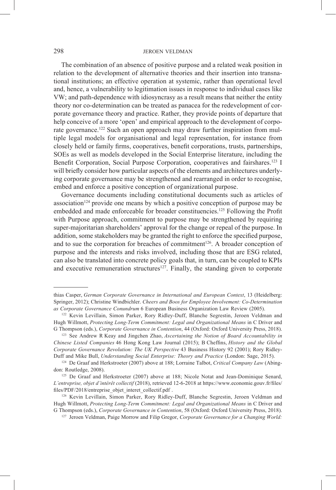The combination of an absence of positive purpose and a related weak position in relation to the development of alternative theories and their insertion into transnational institutions; an effective operation at systemic, rather than operational level and, hence, a vulnerability to legitimation issues in response to individual cases like VW; and path-dependence with idiosyncrasy as a result means that neither the entity theory nor co-determination can be treated as panacea for the redevelopment of corporate governance theory and practice. Rather, they provide points of departure that help conceive of a more 'open' and empirical approach to the development of corporate governance.<sup>122</sup> Such an open approach may draw further inspiration from multiple legal models for organisational and legal representation, for instance from closely held or family firms, cooperatives, benefit corporations, trusts, partnerships, SOEs as well as models developed in the Social Enterprise literature, including the Benefit Corporation, Social Purpose Corporation, cooperatives and fairshares.<sup>123</sup> I will briefly consider how particular aspects of the elements and architectures underlying corporate governance may be strengthened and rearranged in order to recognise, embed and enforce a positive conception of organizational purpose.

Governance documents including constitutional documents such as articles of association<sup>124</sup> provide one means by which a positive conception of purpose may be embedded and made enforceable for broader constituencies.<sup>125</sup> Following the Profit with Purpose approach, commitment to purpose may be strengthened by requiring super-majoritarian shareholders' approval for the change or repeal of the purpose. In addition, some stakeholders may be granted the right to enforce the specified purpose, and to sue the corporation for breaches of commitment<sup>126</sup>. A broader conception of purpose and the interests and risks involved, including those that are ESG related, can also be translated into concrete policy goals that, in turn, can be coupled to KPIs and executive remuneration structures<sup>127</sup>. Finally, the standing given to corporate

thias Casper, *German Corporate Governance in International and European Context*, 13 (Heidelberg: Springer, 2012); Christine Windbichler. *Cheers and Boos for Employee Involvement: Co-Determination as Corporate Governance Conundrum* 6 European Business Organization Law Review (2005).

<sup>122</sup> Kevin Levillain, Simon Parker, Rory Ridley-Duff, Blanche Segrestin, Jeroen Veldman and Hugh Willmott, *Protecting Long-Term Commitment: Legal and Organizational Means* in C Driver and G Thompson (eds.), *Corporate Governance in Contention*, 44 (Oxford: Oxford University Press, 2018).

<sup>123</sup> See Andrew R Keay and Jingchen Zhao, *Ascertaining the Notion of Board Accountability in Chinese Listed Companies* 46 Hong Kong Law Journal (2015); B Cheffins, *History and the Global Corporate Governance Revolution: The UK Perspective* 43 Business History 92 (2001); Rory Ridley-Duff and Mike Bull, *Understanding Social Enterprise: Theory and Practice* (London: Sage, 2015).

<sup>124</sup> De Graaf and Herkstroeter (2007) above at 188; Lorraine Talbot, *Critical Company Law* (Abingdon: Routledge, 2008).

<sup>125</sup> De Graaf and Herkstroeter (2007) above at 188; Nicole Notat and Jean-Dominique Senard, *L'entreprise, objet d'intérêt collectif* (2018), retrieved 12-6-2018 at https://www.economie.gouv.fr/files/ files/PDF/2018/entreprise\_objet\_interet\_collectif.pdf .

<sup>126</sup> Kevin Levillain, Simon Parker, Rory Ridley-Duff, Blanche Segrestin, Jeroen Veldman and Hugh Willmott, *Protecting Long-Term Commitment: Legal and Organizational Means* in C Driver and G Thompson (eds.), *Corporate Governance in Contention*, 58 (Oxford: Oxford University Press, 2018).

<sup>127</sup> Jeroen Veldman, Paige Morrow and Filip Gregor, *Corporate Governance for a Changing World:*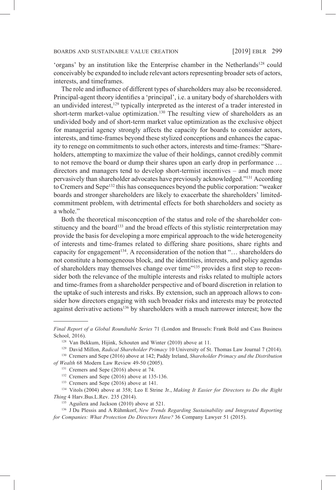'organs' by an institution like the Enterprise chamber in the Netherlands<sup>128</sup> could conceivably be expanded to include relevant actors representing broader sets of actors, interests, and timeframes.

The role and influence of different types of shareholders may also be reconsidered. Principal-agent theory identifies a 'principal', i.e. a unitary body of shareholders with an undivided interest,<sup>129</sup> typically interpreted as the interest of a trader interested in short-term market-value optimization.<sup>130</sup> The resulting view of shareholders as an undivided body and of short-term market value optimization as the exclusive object for managerial agency strongly affects the capacity for boards to consider actors, interests, and time-frames beyond these stylized conceptions and enhances the capacity to renege on commitments to such other actors, interests and time-frames: "Shareholders, attempting to maximize the value of their holdings, cannot credibly commit to not remove the board or dump their shares upon an early drop in performance … directors and managers tend to develop short-termist incentives – and much more pervasively than shareholder advocates have previously acknowledged."131 According to Cremers and Sepe<sup>132</sup> this has consequences beyond the public corporation: "weaker" boards and stronger shareholders are likely to exacerbate the shareholders' limitedcommitment problem, with detrimental effects for both shareholders and society as a whole."

Both the theoretical misconception of the status and role of the shareholder constituency and the board<sup>133</sup> and the broad effects of this stylistic reinterpretation may provide the basis for developing a more empirical approach to the wide heterogeneity of interests and time-frames related to differing share positions, share rights and capacity for engagement<sup>134</sup>. A reconsideration of the notion that "... shareholders do not constitute a homogeneous block, and the identities, interests, and policy agendas of shareholders may themselves change over time"135 provides a first step to reconsider both the relevance of the multiple interests and risks related to multiple actors and time-frames from a shareholder perspective and of board discretion in relation to the uptake of such interests and risks. By extension, such an approach allows to consider how directors engaging with such broader risks and interests may be protected against derivative actions<sup>136</sup> by shareholders with a much narrower interest; how the

*Final Report of a Global Roundtable Series* 71 (London and Brussels: Frank Bold and Cass Business School, 2016).

<sup>128</sup> Van Bekkum, Hijink, Schouten and Winter (2010) above at 11.

<sup>129</sup> David Millon, *Radical Shareholder Primacy* 10 University of St. Thomas Law Journal 7 (2014).

<sup>130</sup> Cremers and Sepe (2016) above at 142; Paddy Ireland, *Shareholder Primacy and the Distribution of Wealth* 68 Modern Law Review 49-50 (2005).

<sup>&</sup>lt;sup>131</sup> Cremers and Sepe (2016) above at 74.

<sup>132</sup> Cremers and Sepe (2016) above at 135-136.

<sup>133</sup> Cremers and Sepe (2016) above at 141.

<sup>134</sup> Vitols (2004) above at 358; Leo E Strine Jr., *Making It Easier for Directors to Do the Right Thing* 4 Harv.Bus.L.Rev. 235 (2014).

<sup>&</sup>lt;sup>135</sup> Aguilera and Jackson (2010) above at 521.

<sup>136</sup> J Du Plessis and A Rühmkorf, *New Trends Regarding Sustainability and Integrated Reporting for Companies: What Protection Do Directors Have?* 36 Company Lawyer 51 (2015).